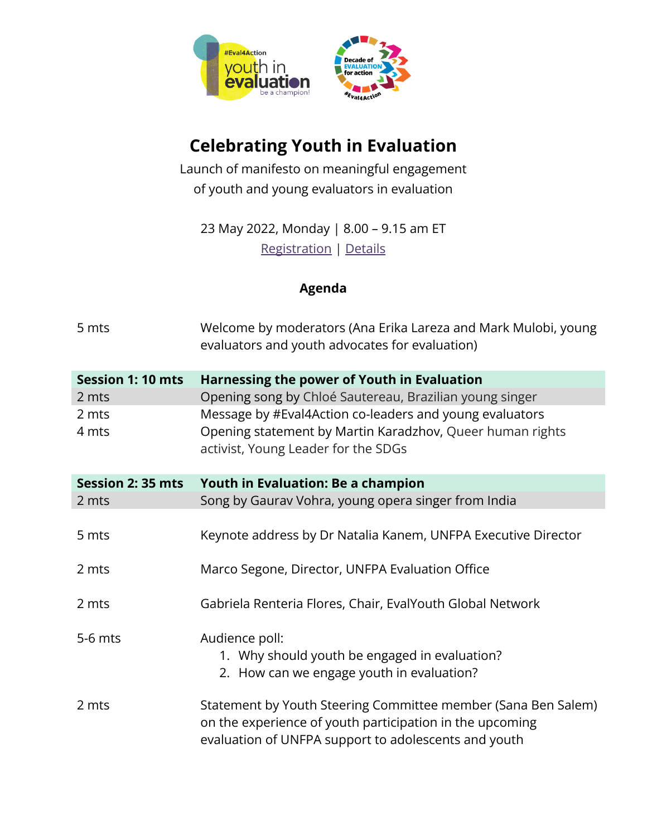

## **Celebrating Youth in Evaluation**

Launch of manifesto on meaningful engagement of youth and young evaluators in evaluation

23 May 2022, Monday | 8.00 – 9.15 am ET [Registration](https://unfpa.zoom.us/meeting/register/tZUpcuitpzstGtNbgMC1iUsh4kfNTjmD8wrW) | [Details](https://www.eval4action.org/youth-in-evaluation)

## **Agenda**

| 5 mts                    | Welcome by moderators (Ana Erika Lareza and Mark Mulobi, young<br>evaluators and youth advocates for evaluation) |
|--------------------------|------------------------------------------------------------------------------------------------------------------|
| <b>Session 1: 10 mts</b> | Harnessing the power of Youth in Evaluation                                                                      |
| 2 mts                    | Opening song by Chloé Sautereau, Brazilian young singer                                                          |
| 2 mts                    | Message by #Eval4Action co-leaders and young evaluators                                                          |
| 4 mts                    | Opening statement by Martin Karadzhov, Queer human rights<br>activist, Young Leader for the SDGs                 |
| Session 2: 35 mts        | Youth in Evaluation: Be a champion                                                                               |
| 2 mts                    | Song by Gaurav Vohra, young opera singer from India                                                              |
|                          |                                                                                                                  |
| 5 mts                    | Keynote address by Dr Natalia Kanem, UNFPA Executive Director                                                    |
|                          |                                                                                                                  |
| 2 mts                    | Marco Segone, Director, UNFPA Evaluation Office                                                                  |
|                          |                                                                                                                  |
| 2 mts                    | Gabriela Renteria Flores, Chair, EvalYouth Global Network                                                        |
| 5-6 mts                  | Audience poll:                                                                                                   |
|                          | 1. Why should youth be engaged in evaluation?                                                                    |
|                          | 2. How can we engage youth in evaluation?                                                                        |
|                          |                                                                                                                  |
| 2 mts                    | Statement by Youth Steering Committee member (Sana Ben Salem)                                                    |
|                          | on the experience of youth participation in the upcoming                                                         |
|                          | evaluation of UNFPA support to adolescents and youth                                                             |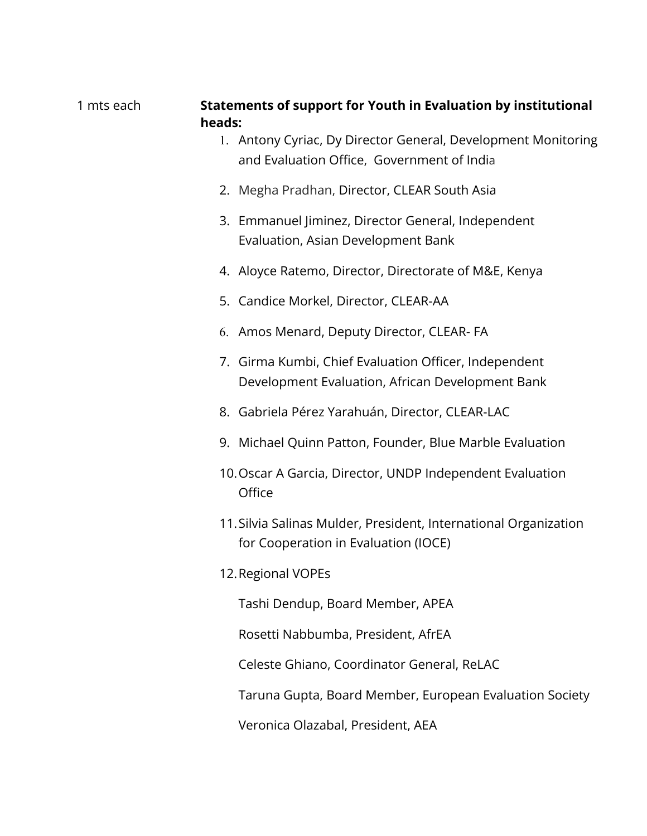## 1 mts each **Statements of support for Youth in Evaluation by institutional heads:**

- 1. Antony Cyriac, Dy Director General, Development Monitoring and Evaluation Office, Government of India
- 2. Megha Pradhan, Director, [CLEAR South Asia](http://www.clearsouthasia.org/)
- 3. Emmanuel Jiminez, Director General, Independent Evaluation, Asian Development Bank
- 4. Aloyce Ratemo, Director, Directorate of M&E, Kenya
- 5. Candice Morkel, Director, CLEAR-AA
- 6. Amos Menard, Deputy Director, CLEAR- FA
- 7. Girma Kumbi, Chief Evaluation Officer, Independent Development Evaluation, African Development Bank
- 8. Gabriela Pérez Yarahuán, Director, CLEAR-LAC
- 9. Michael Quinn Patton, Founder, Blue Marble Evaluation
- 10.Oscar A Garcia, Director, UNDP Independent Evaluation **Office**
- 11.Silvia Salinas Mulder, President, International Organization for Cooperation in Evaluation (IOCE)
- 12.Regional VOPEs

Tashi Dendup, Board Member, APEA

Rosetti Nabbumba, President, AfrEA

Celeste Ghiano, Coordinator General, ReLAC

Taruna Gupta, Board Member, European Evaluation Society

Veronica Olazabal, President, AEA